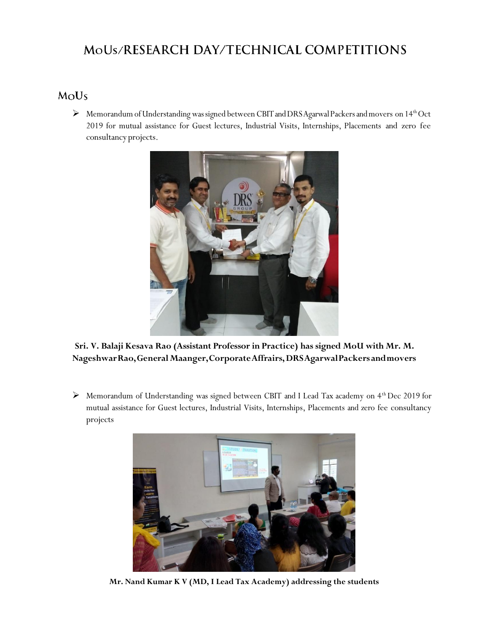## MoUs/RESEARCH DAY/TECHNICAL COMPETITIONS

## MoUs

 $\triangleright$  Memorandum of Understanding was signed between CBIT and DRS Agarwal Packers and movers on 14<sup>th</sup> Oct 2019 for mutual assistance for Guest lectures, Industrial Visits, Internships, Placements and zero fee consultancy projects.



**Sri. V. Balaji Kesava Rao (Assistant Professor in Practice) has signed MoU with Mr. M. NageshwarRao,GeneralMaanger,CorporateAffrairs,DRSAgarwalPackers andmovers**

> Memorandum of Understanding was signed between CBIT and I Lead Tax academy on 4<sup>th</sup> Dec 2019 for mutual assistance for Guest lectures, Industrial Visits, Internships, Placements and zero fee consultancy projects



**Mr. Nand Kumar K V (MD, I Lead Tax Academy) addressing the students**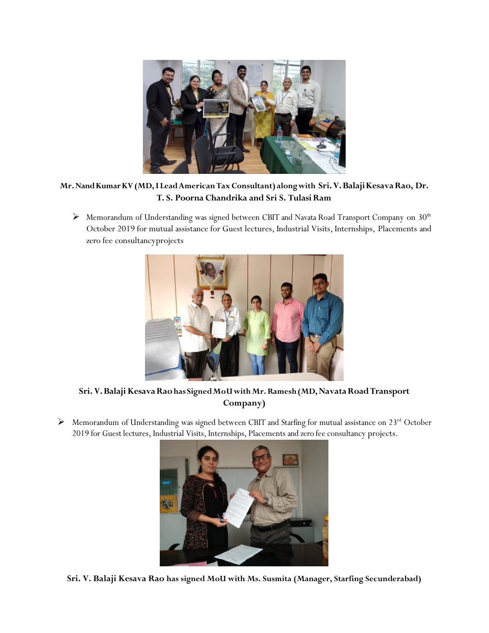

## **Mr.NandKumarKV(MD,I LeadAmericanTaxConsultant) alongwith Sri.V.BalajiKesavaRao, Dr. T. S. Poorna Chandrika and Sri S. TulasiRam**

 $\triangleright$  Memorandum of Understanding was signed between CBIT and Navata Road Transport Company on 30<sup>th</sup> October 2019 for mutual assistance for Guest lectures, Industrial Visits, Internships, Placements and zero fee consultancyprojects



**Sri. V.Balaji KesavaRaohas SignedMoUwithMr.Ramesh(MD,NavataRoadTransport Company)**

 $\triangleright$  Memorandum of Understanding was signed between CBIT and Starfing for mutual assistance on 23<sup>rd</sup> October 2019 for Guest lectures, Industrial Visits, Internships, Placements and zero fee consultancy projects.



**Sri. V. Balaji Kesava Rao has signed MoU with Ms. Susmita (Manager, Starfing Secunderabad)**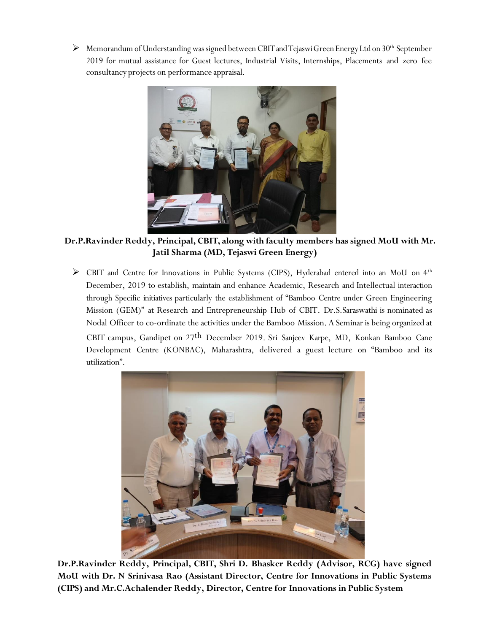$\triangleright$  Memorandum of Understanding was signed between CBIT and Tejaswi Green Energy Ltd on 30<sup>th</sup> September 2019 for mutual assistance for Guest lectures, Industrial Visits, Internships, Placements and zero fee consultancy projects on performance appraisal.



**Dr.P.Ravinder Reddy, Principal, CBIT, along with faculty members has signed MoU with Mr. Jatil Sharma (MD, Tejaswi Green Energy)**

> CBIT and Centre for Innovations in Public Systems (CIPS), Hyderabad entered into an MoU on 4<sup>th</sup> December, 2019 to establish, maintain and enhance Academic, Research and Intellectual interaction through Specific initiatives particularly the establishment of "Bamboo Centre under Green Engineering Mission (GEM)" at Research and Entrepreneurship Hub of CBIT. Dr.S.Saraswathi is nominated as Nodal Officer to co-ordinate the activities under the Bamboo Mission. A Seminaris being organized at CBIT campus, Gandipet on 27th December 2019. Sri Sanjeev Karpe, MD, Konkan Bamboo Cane Development Centre (KONBAC), Maharashtra, delivered a guest lecture on "Bamboo and its





**Dr.P.Ravinder Reddy, Principal, CBIT, Shri D. Bhasker Reddy (Advisor, RCG) have signed MoU with Dr. N Srinivasa Rao (Assistant Director, Centre for Innovations in Public Systems (CIPS) and Mr.C.Achalender Reddy, Director, Centre for Innovations in Public System**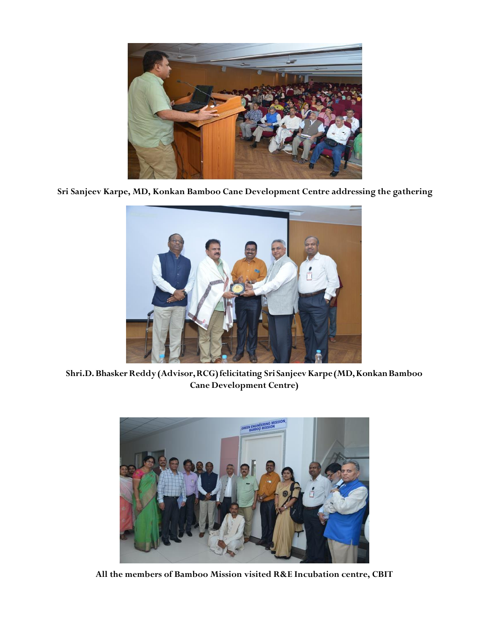

**Sri Sanjeev Karpe, MD, Konkan Bamboo Cane Development Centre addressing the gathering**



**Shri.D.BhaskerReddy(Advisor,RCG)felicitating Sri SanjeevKarpe(MD,KonkanBamboo Cane Development Centre)**



**All the members of Bamboo Mission visited R&E Incubation centre, CBIT**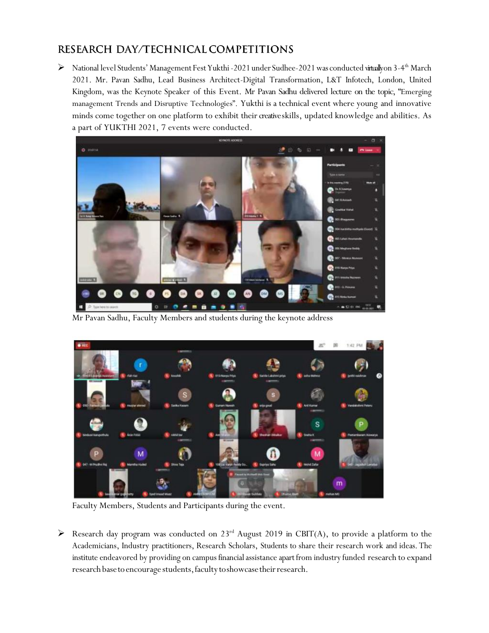## RESEARCH DAY/TECHNICAL COMPETITIONS

> National level Students' Management Fest Yukthi -2021 under Sudhee-2021 was conducted vitually on 3-4<sup>th</sup> March 2021. Mr. Pavan Sadhu, Lead Business Architect-Digital Transformation, L&T Infotech, London, United Kingdom, was the Keynote Speaker of this Event. Mr Pavan Sadhu delivered lecture on the topic, "Emerging management Trends and Disruptive Technologies". Yukthi is a technical event where young and innovative minds come together on one platform to exhibit their creative skills, updated knowledge and abilities. As a part of YUKTHI 2021, 7 events were conducted.



Mr Pavan Sadhu, Faculty Members and students during the keynote address



Faculty Members, Students and Participants during the event.

Research day program was conducted on  $23^{rd}$  August 2019 in CBIT(A), to provide a platform to the Academicians, Industry practitioners, Research Scholars, Students to share their research work and ideas. The institute endeavored by providing on campus financial assistance apart from industry funded research to expand research base to encourage students, faculty to showcase their research.